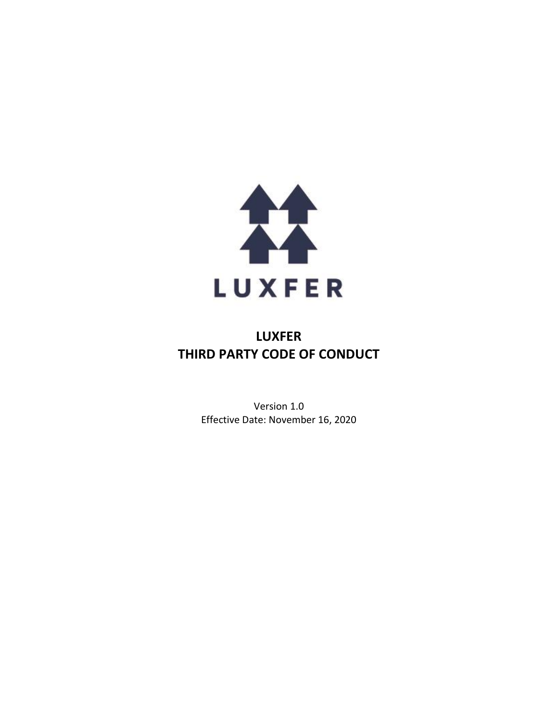

# **LUXFER THIRD PARTY CODE OF CONDUCT**

Version 1.0 Effective Date: November 16, 2020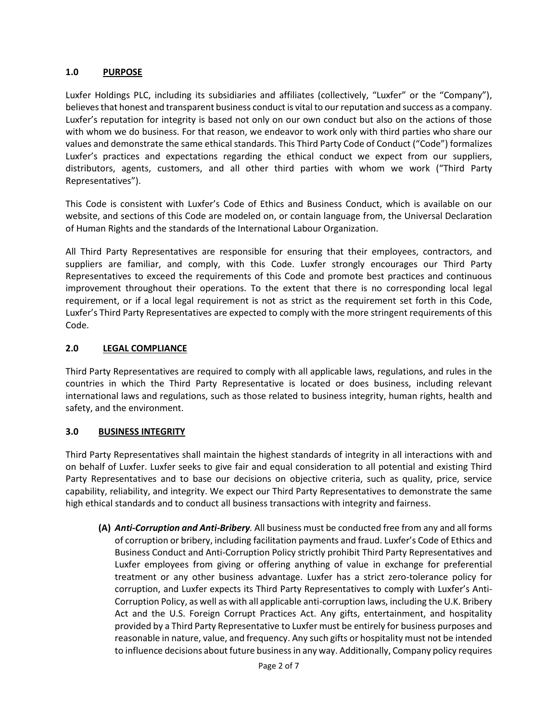## **1.0 PURPOSE**

Luxfer Holdings PLC, including its subsidiaries and affiliates (collectively, "Luxfer" or the "Company"), believesthat honest and transparent business conduct is vital to our reputation and success as a company. Luxfer's reputation for integrity is based not only on our own conduct but also on the actions of those with whom we do business. For that reason, we endeavor to work only with third parties who share our values and demonstrate the same ethical standards. This Third Party Code of Conduct ("Code") formalizes Luxfer's practices and expectations regarding the ethical conduct we expect from our suppliers, distributors, agents, customers, and all other third parties with whom we work ("Third Party Representatives").

This Code is consistent with Luxfer's Code of Ethics and Business Conduct, which is available on our website, and sections of this Code are modeled on, or contain language from, the Universal Declaration of Human Rights and the standards of the International Labour Organization.

All Third Party Representatives are responsible for ensuring that their employees, contractors, and suppliers are familiar, and comply, with this Code. Luxfer strongly encourages our Third Party Representatives to exceed the requirements of this Code and promote best practices and continuous improvement throughout their operations. To the extent that there is no corresponding local legal requirement, or if a local legal requirement is not as strict as the requirement set forth in this Code, Luxfer's Third Party Representatives are expected to comply with the more stringent requirements of this Code.

## **2.0 LEGAL COMPLIANCE**

Third Party Representatives are required to comply with all applicable laws, regulations, and rules in the countries in which the Third Party Representative is located or does business, including relevant international laws and regulations, such as those related to business integrity, human rights, health and safety, and the environment.

### **3.0 BUSINESS INTEGRITY**

Third Party Representatives shall maintain the highest standards of integrity in all interactions with and on behalf of Luxfer. Luxfer seeks to give fair and equal consideration to all potential and existing Third Party Representatives and to base our decisions on objective criteria, such as quality, price, service capability, reliability, and integrity. We expect our Third Party Representatives to demonstrate the same high ethical standards and to conduct all business transactions with integrity and fairness.

**(A)** *Anti-Corruption and Anti-Bribery.* All business must be conducted free from any and all forms of corruption or bribery, including facilitation payments and fraud. Luxfer's Code of Ethics and Business Conduct and Anti-Corruption Policy strictly prohibit Third Party Representatives and Luxfer employees from giving or offering anything of value in exchange for preferential treatment or any other business advantage. Luxfer has a strict zero-tolerance policy for corruption, and Luxfer expects its Third Party Representatives to comply with Luxfer's Anti-Corruption Policy, as well as with all applicable anti-corruption laws, including the U.K. Bribery Act and the U.S. Foreign Corrupt Practices Act. Any gifts, entertainment, and hospitality provided by a Third Party Representative to Luxfer must be entirely for business purposes and reasonable in nature, value, and frequency. Any such gifts or hospitality must not be intended to influence decisions about future business in any way. Additionally, Company policy requires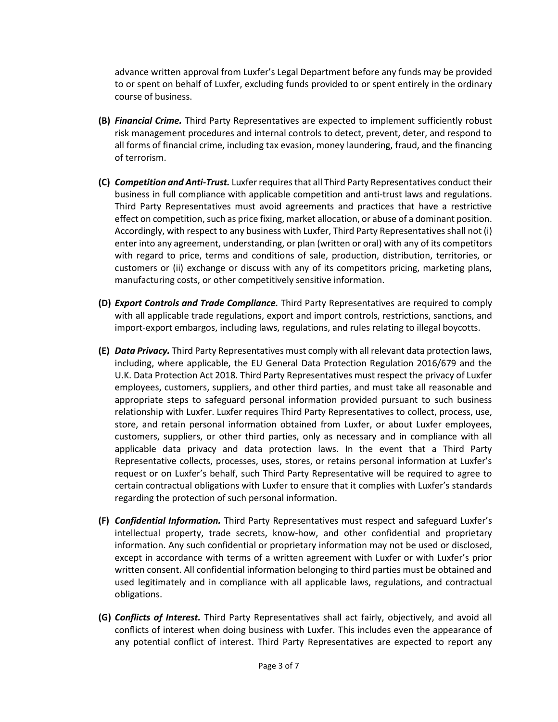advance written approval from Luxfer's Legal Department before any funds may be provided to or spent on behalf of Luxfer, excluding funds provided to or spent entirely in the ordinary course of business.

- **(B)** *Financial Crime.* Third Party Representatives are expected to implement sufficiently robust risk management procedures and internal controls to detect, prevent, deter, and respond to all forms of financial crime, including tax evasion, money laundering, fraud, and the financing of terrorism.
- **(C)** *Competition and Anti-Trust.* Luxfer requires that all Third Party Representatives conduct their business in full compliance with applicable competition and anti-trust laws and regulations. Third Party Representatives must avoid agreements and practices that have a restrictive effect on competition, such as price fixing, market allocation, or abuse of a dominant position. Accordingly, with respect to any business with Luxfer, Third Party Representatives shall not (i) enter into any agreement, understanding, or plan (written or oral) with any of its competitors with regard to price, terms and conditions of sale, production, distribution, territories, or customers or (ii) exchange or discuss with any of its competitors pricing, marketing plans, manufacturing costs, or other competitively sensitive information.
- **(D)** *Export Controls and Trade Compliance.* Third Party Representatives are required to comply with all applicable trade regulations, export and import controls, restrictions, sanctions, and import-export embargos, including laws, regulations, and rules relating to illegal boycotts.
- **(E)** *Data Privacy.* Third Party Representatives must comply with all relevant data protection laws, including, where applicable, the EU General Data Protection Regulation 2016/679 and the U.K. Data Protection Act 2018. Third Party Representatives must respect the privacy of Luxfer employees, customers, suppliers, and other third parties, and must take all reasonable and appropriate steps to safeguard personal information provided pursuant to such business relationship with Luxfer. Luxfer requires Third Party Representatives to collect, process, use, store, and retain personal information obtained from Luxfer, or about Luxfer employees, customers, suppliers, or other third parties, only as necessary and in compliance with all applicable data privacy and data protection laws. In the event that a Third Party Representative collects, processes, uses, stores, or retains personal information at Luxfer's request or on Luxfer's behalf, such Third Party Representative will be required to agree to certain contractual obligations with Luxfer to ensure that it complies with Luxfer's standards regarding the protection of such personal information.
- **(F)** *Confidential Information.* Third Party Representatives must respect and safeguard Luxfer's intellectual property, trade secrets, know-how, and other confidential and proprietary information. Any such confidential or proprietary information may not be used or disclosed, except in accordance with terms of a written agreement with Luxfer or with Luxfer's prior written consent. All confidential information belonging to third parties must be obtained and used legitimately and in compliance with all applicable laws, regulations, and contractual obligations.
- **(G)** *Conflicts of Interest.* Third Party Representatives shall act fairly, objectively, and avoid all conflicts of interest when doing business with Luxfer. This includes even the appearance of any potential conflict of interest. Third Party Representatives are expected to report any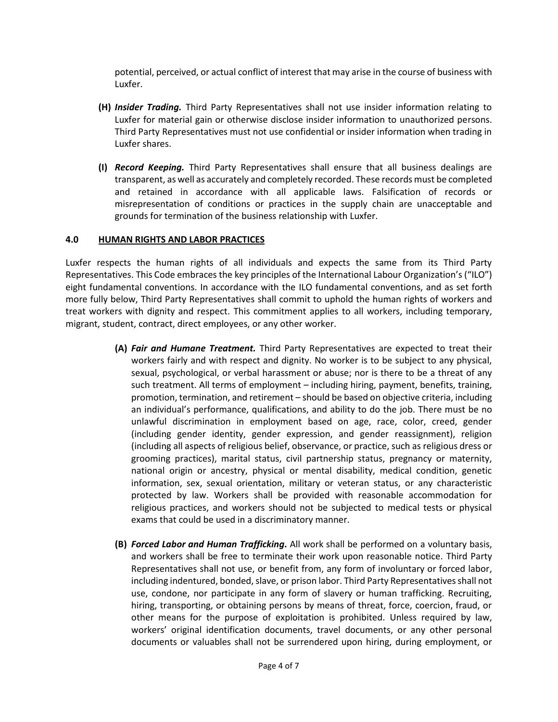potential, perceived, or actual conflict of interest that may arise in the course of business with Luxfer.

- **(H)** *Insider Trading.* Third Party Representatives shall not use insider information relating to Luxfer for material gain or otherwise disclose insider information to unauthorized persons. Third Party Representatives must not use confidential or insider information when trading in Luxfer shares.
- **(I)** *Record Keeping.* Third Party Representatives shall ensure that all business dealings are transparent, as well as accurately and completely recorded. These records must be completed and retained in accordance with all applicable laws. Falsification of records or misrepresentation of conditions or practices in the supply chain are unacceptable and grounds for termination of the business relationship with Luxfer.

## **4.0 HUMAN RIGHTS AND LABOR PRACTICES**

Luxfer respects the human rights of all individuals and expects the same from its Third Party Representatives. This Code embraces the key principles of the International Labour Organization's ("ILO") eight fundamental conventions. In accordance with the ILO fundamental conventions, and as set forth more fully below, Third Party Representatives shall commit to uphold the human rights of workers and treat workers with dignity and respect. This commitment applies to all workers, including temporary, migrant, student, contract, direct employees, or any other worker.

- **(A)** *Fair and Humane Treatment.* Third Party Representatives are expected to treat their workers fairly and with respect and dignity. No worker is to be subject to any physical, sexual, psychological, or verbal harassment or abuse; nor is there to be a threat of any such treatment. All terms of employment – including hiring, payment, benefits, training, promotion, termination, and retirement – should be based on objective criteria, including an individual's performance, qualifications, and ability to do the job. There must be no unlawful discrimination in employment based on age, race, color, creed, gender (including gender identity, gender expression, and gender reassignment), religion (including all aspects of religious belief, observance, or practice, such as religious dress or grooming practices), marital status, civil partnership status, pregnancy or maternity, national origin or ancestry, physical or mental disability, medical condition, genetic information, sex, sexual orientation, military or veteran status, or any characteristic protected by law. Workers shall be provided with reasonable accommodation for religious practices, and workers should not be subjected to medical tests or physical exams that could be used in a discriminatory manner.
- **(B)** *Forced Labor and Human Trafficking***.** All work shall be performed on a voluntary basis, and workers shall be free to terminate their work upon reasonable notice. Third Party Representatives shall not use, or benefit from, any form of involuntary or forced labor, including indentured, bonded, slave, or prison labor. Third Party Representatives shall not use, condone, nor participate in any form of slavery or human trafficking. Recruiting, hiring, transporting, or obtaining persons by means of threat, force, coercion, fraud, or other means for the purpose of exploitation is prohibited. Unless required by law, workers' original identification documents, travel documents, or any other personal documents or valuables shall not be surrendered upon hiring, during employment, or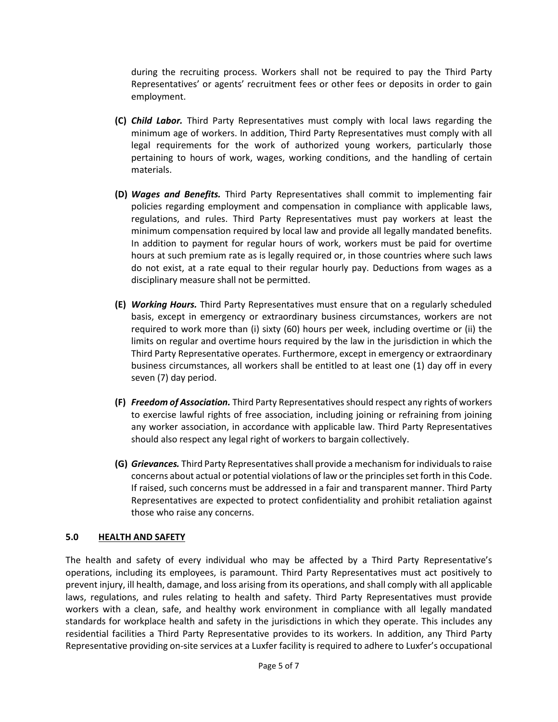during the recruiting process. Workers shall not be required to pay the Third Party Representatives' or agents' recruitment fees or other fees or deposits in order to gain employment.

- **(C)** *Child Labor.* Third Party Representatives must comply with local laws regarding the minimum age of workers. In addition, Third Party Representatives must comply with all legal requirements for the work of authorized young workers, particularly those pertaining to hours of work, wages, working conditions, and the handling of certain materials.
- **(D)** *Wages and Benefits.* Third Party Representatives shall commit to implementing fair policies regarding employment and compensation in compliance with applicable laws, regulations, and rules. Third Party Representatives must pay workers at least the minimum compensation required by local law and provide all legally mandated benefits. In addition to payment for regular hours of work, workers must be paid for overtime hours at such premium rate as is legally required or, in those countries where such laws do not exist, at a rate equal to their regular hourly pay. Deductions from wages as a disciplinary measure shall not be permitted.
- **(E)** *Working Hours.* Third Party Representatives must ensure that on a regularly scheduled basis, except in emergency or extraordinary business circumstances, workers are not required to work more than (i) sixty (60) hours per week, including overtime or (ii) the limits on regular and overtime hours required by the law in the jurisdiction in which the Third Party Representative operates. Furthermore, except in emergency or extraordinary business circumstances, all workers shall be entitled to at least one (1) day off in every seven (7) day period.
- **(F)** *Freedom of Association.* Third Party Representatives should respect any rights of workers to exercise lawful rights of free association, including joining or refraining from joining any worker association, in accordance with applicable law. Third Party Representatives should also respect any legal right of workers to bargain collectively.
- **(G)** *Grievances.* Third Party Representatives shall provide a mechanism for individuals to raise concerns about actual or potential violations of law or the principles set forth in this Code. If raised, such concerns must be addressed in a fair and transparent manner. Third Party Representatives are expected to protect confidentiality and prohibit retaliation against those who raise any concerns.

### **5.0 HEALTH AND SAFETY**

The health and safety of every individual who may be affected by a Third Party Representative's operations, including its employees, is paramount. Third Party Representatives must act positively to prevent injury, ill health, damage, and loss arising from its operations, and shall comply with all applicable laws, regulations, and rules relating to health and safety. Third Party Representatives must provide workers with a clean, safe, and healthy work environment in compliance with all legally mandated standards for workplace health and safety in the jurisdictions in which they operate. This includes any residential facilities a Third Party Representative provides to its workers. In addition, any Third Party Representative providing on-site services at a Luxfer facility is required to adhere to Luxfer's occupational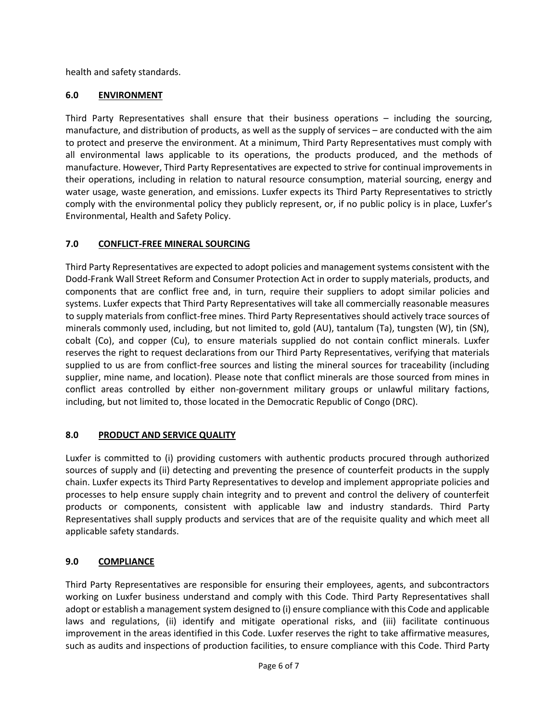health and safety standards.

## **6.0 ENVIRONMENT**

Third Party Representatives shall ensure that their business operations – including the sourcing, manufacture, and distribution of products, as well as the supply of services – are conducted with the aim to protect and preserve the environment. At a minimum, Third Party Representatives must comply with all environmental laws applicable to its operations, the products produced, and the methods of manufacture. However, Third Party Representatives are expected to strive for continual improvements in their operations, including in relation to natural resource consumption, material sourcing, energy and water usage, waste generation, and emissions. Luxfer expects its Third Party Representatives to strictly comply with the environmental policy they publicly represent, or, if no public policy is in place, Luxfer's Environmental, Health and Safety Policy.

## **7.0 CONFLICT-FREE MINERAL SOURCING**

Third Party Representatives are expected to adopt policies and management systems consistent with the Dodd-Frank Wall Street Reform and Consumer Protection Act in order to supply materials, products, and components that are conflict free and, in turn, require their suppliers to adopt similar policies and systems. Luxfer expects that Third Party Representatives will take all commercially reasonable measures to supply materials from conflict-free mines. Third Party Representatives should actively trace sources of minerals commonly used, including, but not limited to, gold (AU), tantalum (Ta), tungsten (W), tin (SN), cobalt (Co), and copper (Cu), to ensure materials supplied do not contain conflict minerals. Luxfer reserves the right to request declarations from our Third Party Representatives, verifying that materials supplied to us are from conflict-free sources and listing the mineral sources for traceability (including supplier, mine name, and location). Please note that conflict minerals are those sourced from mines in conflict areas controlled by either non-government military groups or unlawful military factions, including, but not limited to, those located in the Democratic Republic of Congo (DRC).

# **8.0 PRODUCT AND SERVICE QUALITY**

Luxfer is committed to (i) providing customers with authentic products procured through authorized sources of supply and (ii) detecting and preventing the presence of counterfeit products in the supply chain. Luxfer expects its Third Party Representatives to develop and implement appropriate policies and processes to help ensure supply chain integrity and to prevent and control the delivery of counterfeit products or components, consistent with applicable law and industry standards. Third Party Representatives shall supply products and services that are of the requisite quality and which meet all applicable safety standards.

# **9.0 COMPLIANCE**

Third Party Representatives are responsible for ensuring their employees, agents, and subcontractors working on Luxfer business understand and comply with this Code. Third Party Representatives shall adopt or establish a management system designed to (i) ensure compliance with this Code and applicable laws and regulations, (ii) identify and mitigate operational risks, and (iii) facilitate continuous improvement in the areas identified in this Code. Luxfer reserves the right to take affirmative measures, such as audits and inspections of production facilities, to ensure compliance with this Code. Third Party